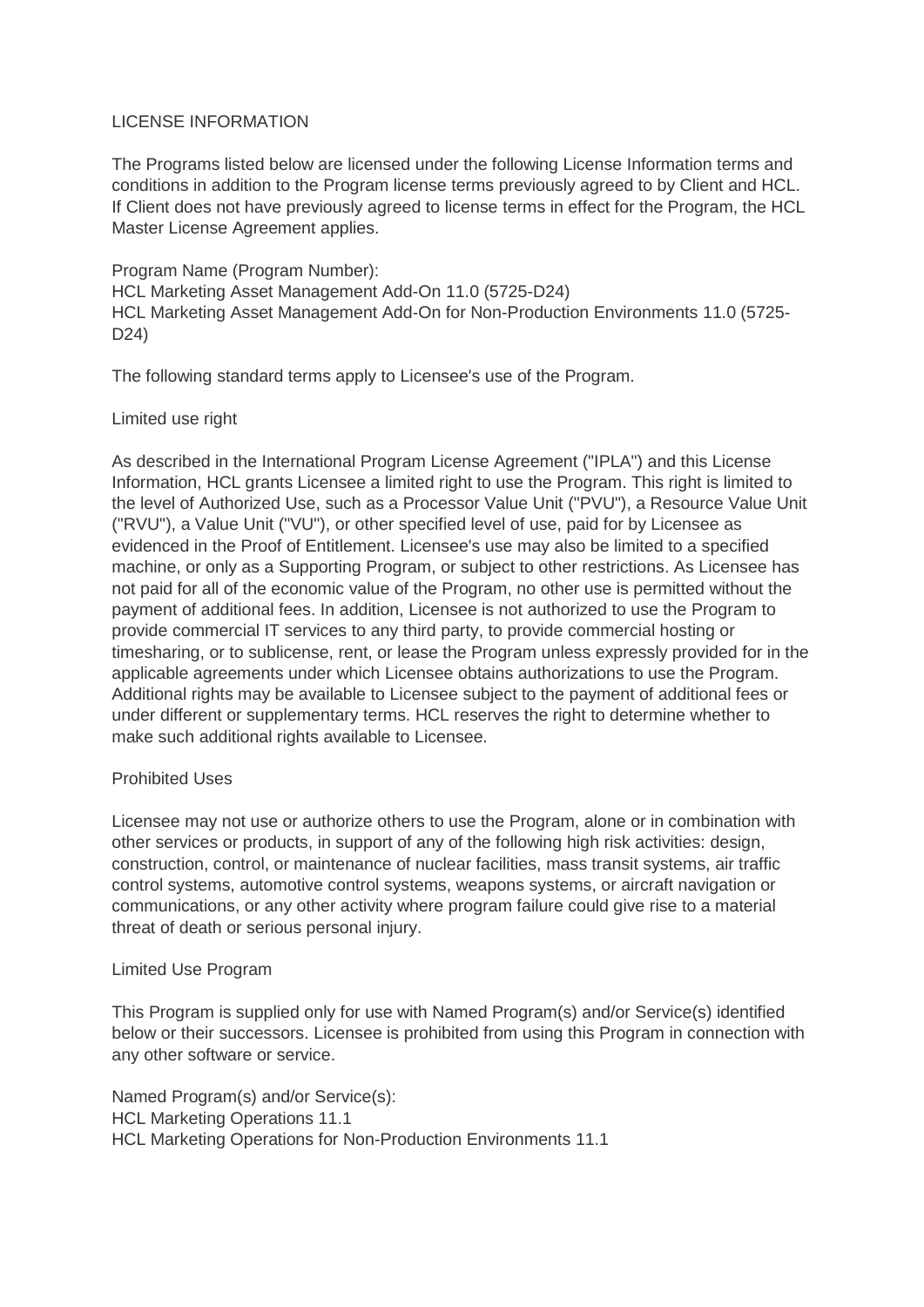### LICENSE INFORMATION

The Programs listed below are licensed under the following License Information terms and conditions in addition to the Program license terms previously agreed to by Client and HCL. If Client does not have previously agreed to license terms in effect for the Program, the HCL Master License Agreement applies.

Program Name (Program Number): HCL Marketing Asset Management Add-On 11.0 (5725-D24) HCL Marketing Asset Management Add-On for Non-Production Environments 11.0 (5725- D24)

The following standard terms apply to Licensee's use of the Program.

# Limited use right

As described in the International Program License Agreement ("IPLA") and this License Information, HCL grants Licensee a limited right to use the Program. This right is limited to the level of Authorized Use, such as a Processor Value Unit ("PVU"), a Resource Value Unit ("RVU"), a Value Unit ("VU"), or other specified level of use, paid for by Licensee as evidenced in the Proof of Entitlement. Licensee's use may also be limited to a specified machine, or only as a Supporting Program, or subject to other restrictions. As Licensee has not paid for all of the economic value of the Program, no other use is permitted without the payment of additional fees. In addition, Licensee is not authorized to use the Program to provide commercial IT services to any third party, to provide commercial hosting or timesharing, or to sublicense, rent, or lease the Program unless expressly provided for in the applicable agreements under which Licensee obtains authorizations to use the Program. Additional rights may be available to Licensee subject to the payment of additional fees or under different or supplementary terms. HCL reserves the right to determine whether to make such additional rights available to Licensee.

# Prohibited Uses

Licensee may not use or authorize others to use the Program, alone or in combination with other services or products, in support of any of the following high risk activities: design, construction, control, or maintenance of nuclear facilities, mass transit systems, air traffic control systems, automotive control systems, weapons systems, or aircraft navigation or communications, or any other activity where program failure could give rise to a material threat of death or serious personal injury.

### Limited Use Program

This Program is supplied only for use with Named Program(s) and/or Service(s) identified below or their successors. Licensee is prohibited from using this Program in connection with any other software or service.

Named Program(s) and/or Service(s): HCL Marketing Operations 11.1 HCL Marketing Operations for Non-Production Environments 11.1